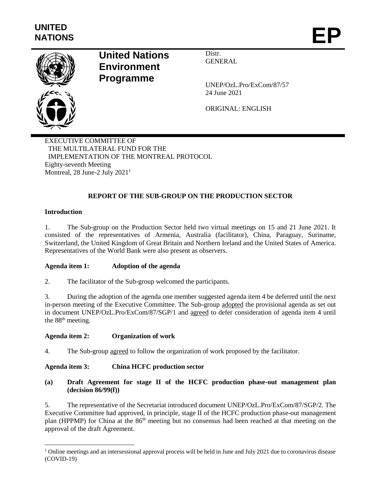

# **United Nations Environment Programme**

Distr. GENERAL

UNEP/OzL.Pro/ExCom/87/57 24 June 2021

ORIGINAL: ENGLISH

EXECUTIVE COMMITTEE OF THE MULTILATERAL FUND FOR THE IMPLEMENTATION OF THE MONTREAL PROTOCOL Eighty-seventh Meeting Montreal, 28 June-2 July 2021<sup>1</sup>

# **REPORT OF THE SUB-GROUP ON THE PRODUCTION SECTOR**

## **Introduction**

l

1. The Sub-group on the Production Sector held two virtual meetings on 15 and 21 June 2021. It consisted of the representatives of Armenia, Australia (facilitator), China, Paraguay, Suriname, Switzerland, the United Kingdom of Great Britain and Northern Ireland and the United States of America. Representatives of the World Bank were also present as observers.

## **Agenda item 1: Adoption of the agenda**

2. The facilitator of the Sub-group welcomed the participants.

3. During the adoption of the agenda one member suggested agenda item 4 be deferred until the next in-person meeting of the Executive Committee. The Sub-group adopted the provisional agenda as set out in document UNEP/OzL.Pro/ExCom/87/SGP/1 and agreed to defer consideration of agenda item 4 until the 88<sup>th</sup> meeting.

## **Agenda item 2: Organization of work**

4. The Sub-group agreed to follow the organization of work proposed by the facilitator.

## **Agenda item 3: China HCFC production sector**

## **(a) Draft Agreement for stage II of the HCFC production phase-out management plan (decision 86/99(f))**

5. The representative of the Secretariat introduced document UNEP/OzL.Pro/ExCom/87/SGP/2. The Executive Committee had approved, in principle, stage II of the HCFC production phase-out management plan (HPPMP) for China at the 86<sup>th</sup> meeting but no consensus had been reached at that meeting on the approval of the draft Agreement.

 $1$  Online meetings and an intersessional approval process will be held in June and July 2021 due to coronavirus disease (COVID-19)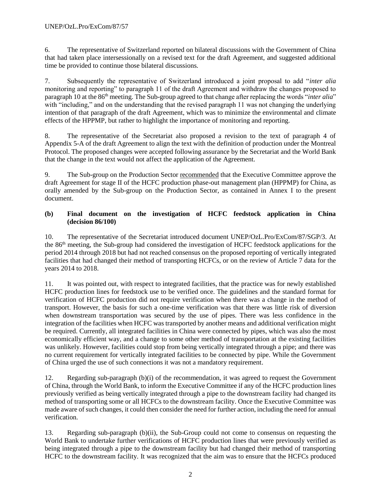6. The representative of Switzerland reported on bilateral discussions with the Government of China that had taken place intersessionally on a revised text for the draft Agreement, and suggested additional time be provided to continue those bilateral discussions.

7. Subsequently the representative of Switzerland introduced a joint proposal to add "*inter alia* monitoring and reporting" to paragraph 11 of the draft Agreement and withdraw the changes proposed to paragraph 10 at the 86th meeting. The Sub-group agreed to that change after replacing the words "*inter alia*" with "including," and on the understanding that the revised paragraph 11 was not changing the underlying intention of that paragraph of the draft Agreement, which was to minimize the environmental and climate effects of the HPPMP, but rather to highlight the importance of monitoring and reporting.

8. The representative of the Secretariat also proposed a revision to the text of paragraph 4 of Appendix 5-A of the draft Agreement to align the text with the definition of production under the Montreal Protocol. The proposed changes were accepted following assurance by the Secretariat and the World Bank that the change in the text would not affect the application of the Agreement.

9. The Sub-group on the Production Sector recommended that the Executive Committee approve the draft Agreement for stage II of the HCFC production phase-out management plan (HPPMP) for China, as orally amended by the Sub-group on the Production Sector, as contained in Annex I to the present document.

## **(b) Final document on the investigation of HCFC feedstock application in China (decision 86/100)**

10. The representative of the Secretariat introduced document UNEP/OzL.Pro/ExCom/87/SGP/3. At the 86th meeting, the Sub-group had considered the investigation of HCFC feedstock applications for the period 2014 through 2018 but had not reached consensus on the proposed reporting of vertically integrated facilities that had changed their method of transporting HCFCs, or on the review of Article 7 data for the years 2014 to 2018.

11. It was pointed out, with respect to integrated facilities, that the practice was for newly established HCFC production lines for feedstock use to be verified once. The guidelines and the standard format for verification of HCFC production did not require verification when there was a change in the method of transport. However, the basis for such a one-time verification was that there was little risk of diversion when downstream transportation was secured by the use of pipes. There was less confidence in the integration of the facilities when HCFC was transported by another means and additional verification might be required. Currently, all integrated facilities in China were connected by pipes, which was also the most economically efficient way, and a change to some other method of transportation at the existing facilities was unlikely. However, facilities could stop from being vertically integrated through a pipe; and there was no current requirement for vertically integrated facilities to be connected by pipe. While the Government of China urged the use of such connections it was not a mandatory requirement.

12. Regarding sub-paragraph (b)(i) of the recommendation, it was agreed to request the Government of China, through the World Bank, to inform the Executive Committee if any of the HCFC production lines previously verified as being vertically integrated through a pipe to the downstream facility had changed its method of transporting some or all HCFCs to the downstream facility. Once the Executive Committee was made aware of such changes, it could then consider the need for further action, including the need for annual verification.

13. Regarding sub-paragraph (b)(ii), the Sub-Group could not come to consensus on requesting the World Bank to undertake further verifications of HCFC production lines that were previously verified as being integrated through a pipe to the downstream facility but had changed their method of transporting HCFC to the downstream facility. It was recognized that the aim was to ensure that the HCFCs produced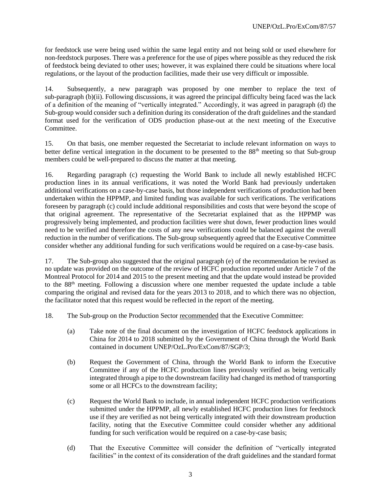for feedstock use were being used within the same legal entity and not being sold or used elsewhere for non-feedstock purposes. There was a preference for the use of pipes where possible as they reduced the risk of feedstock being deviated to other uses; however, it was explained there could be situations where local regulations, or the layout of the production facilities, made their use very difficult or impossible.

14. Subsequently, a new paragraph was proposed by one member to replace the text of sub-paragraph (b)(ii). Following discussions, it was agreed the principal difficulty being faced was the lack of a definition of the meaning of "vertically integrated." Accordingly, it was agreed in paragraph (d) the Sub-group would consider such a definition during its consideration of the draft guidelines and the standard format used for the verification of ODS production phase-out at the next meeting of the Executive Committee.

15. On that basis, one member requested the Secretariat to include relevant information on ways to better define vertical integration in the document to be presented to the 88<sup>th</sup> meeting so that Sub-group members could be well-prepared to discuss the matter at that meeting.

16. Regarding paragraph (c) requesting the World Bank to include all newly established HCFC production lines in its annual verifications, it was noted the World Bank had previously undertaken additional verifications on a case-by-case basis, but those independent verifications of production had been undertaken within the HPPMP, and limited funding was available for such verifications. The verifications foreseen by paragraph (c) could include additional responsibilities and costs that were beyond the scope of that original agreement. The representative of the Secretariat explained that as the HPPMP was progressively being implemented, and production facilities were shut down, fewer production lines would need to be verified and therefore the costs of any new verifications could be balanced against the overall reduction in the number of verifications. The Sub-group subsequently agreed that the Executive Committee consider whether any additional funding for such verifications would be required on a case-by-case basis.

17. The Sub-group also suggested that the original paragraph (e) of the recommendation be revised as no update was provided on the outcome of the review of HCFC production reported under Article 7 of the Montreal Protocol for 2014 and 2015 to the present meeting and that the update would instead be provided to the 88<sup>th</sup> meeting. Following a discussion where one member requested the update include a table comparing the original and revised data for the years 2013 to 2018, and to which there was no objection, the facilitator noted that this request would be reflected in the report of the meeting.

- 18. The Sub-group on the Production Sector recommended that the Executive Committee:
	- (a) Take note of the final document on the investigation of HCFC feedstock applications in China for 2014 to 2018 submitted by the Government of China through the World Bank contained in document UNEP/OzL.Pro/ExCom/87/SGP/3;
	- (b) Request the Government of China, through the World Bank to inform the Executive Committee if any of the HCFC production lines previously verified as being vertically integrated through a pipe to the downstream facility had changed its method of transporting some or all HCFCs to the downstream facility;
	- (c) Request the World Bank to include, in annual independent HCFC production verifications submitted under the HPPMP, all newly established HCFC production lines for feedstock use if they are verified as not being vertically integrated with their downstream production facility, noting that the Executive Committee could consider whether any additional funding for such verification would be required on a case-by-case basis;
	- (d) That the Executive Committee will consider the definition of "vertically integrated facilities" in the context of its consideration of the draft guidelines and the standard format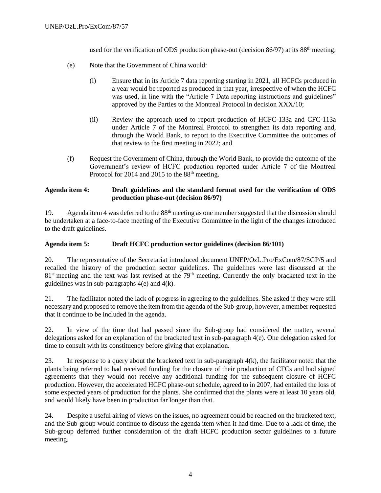used for the verification of ODS production phase-out (decision  $86/97$ ) at its  $88<sup>th</sup>$  meeting;

- (e) Note that the Government of China would:
	- (i) Ensure that in its Article 7 data reporting starting in 2021, all HCFCs produced in a year would be reported as produced in that year, irrespective of when the HCFC was used, in line with the "Article 7 Data reporting instructions and guidelines" approved by the Parties to the Montreal Protocol in decision XXX/10;
	- (ii) Review the approach used to report production of HCFC-133a and CFC-113a under Article 7 of the Montreal Protocol to strengthen its data reporting and, through the World Bank, to report to the Executive Committee the outcomes of that review to the first meeting in 2022; and
- (f) Request the Government of China, through the World Bank, to provide the outcome of the Government's review of HCFC production reported under Article 7 of the Montreal Protocol for 2014 and 2015 to the 88<sup>th</sup> meeting.

#### **Agenda item 4: Draft guidelines and the standard format used for the verification of ODS production phase-out (decision 86/97)**

19. Agenda item 4 was deferred to the 88<sup>th</sup> meeting as one member suggested that the discussion should be undertaken at a face-to-face meeting of the Executive Committee in the light of the changes introduced to the draft guidelines.

#### **Agenda item 5: Draft HCFC production sector guidelines (decision 86/101)**

20. The representative of the Secretariat introduced document UNEP/OzL.Pro/ExCom/87/SGP/5 and recalled the history of the production sector guidelines. The guidelines were last discussed at the 81<sup>st</sup> meeting and the text was last revised at the 79<sup>th</sup> meeting. Currently the only bracketed text in the guidelines was in sub-paragraphs  $4(e)$  and  $4(k)$ .

21. The facilitator noted the lack of progress in agreeing to the guidelines. She asked if they were still necessary and proposed to remove the item from the agenda of the Sub-group, however, a member requested that it continue to be included in the agenda.

22. In view of the time that had passed since the Sub-group had considered the matter, several delegations asked for an explanation of the bracketed text in sub-paragraph 4(e). One delegation asked for time to consult with its constituency before giving that explanation.

23. In response to a query about the bracketed text in sub-paragraph  $4(k)$ , the facilitator noted that the plants being referred to had received funding for the closure of their production of CFCs and had signed agreements that they would not receive any additional funding for the subsequent closure of HCFC production. However, the accelerated HCFC phase-out schedule, agreed to in 2007, had entailed the loss of some expected years of production for the plants. She confirmed that the plants were at least 10 years old, and would likely have been in production far longer than that.

24. Despite a useful airing of views on the issues, no agreement could be reached on the bracketed text, and the Sub-group would continue to discuss the agenda item when it had time. Due to a lack of time, the Sub-group deferred further consideration of the draft HCFC production sector guidelines to a future meeting.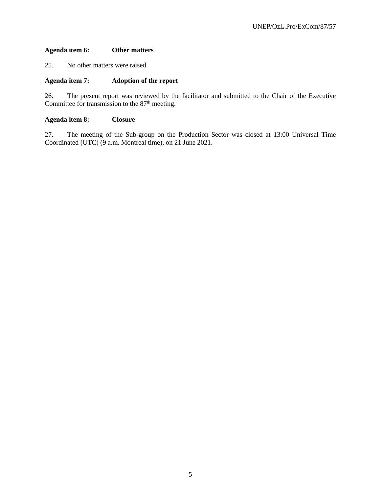#### **Agenda item 6: Other matters**

25. No other matters were raised.

#### **Agenda item 7: Adoption of the report**

26. The present report was reviewed by the facilitator and submitted to the Chair of the Executive Committee for transmission to the  $87<sup>th</sup>$  meeting.

#### **Agenda item 8: Closure**

27. The meeting of the Sub-group on the Production Sector was closed at 13:00 Universal Time Coordinated (UTC) (9 a.m. Montreal time), on 21 June 2021.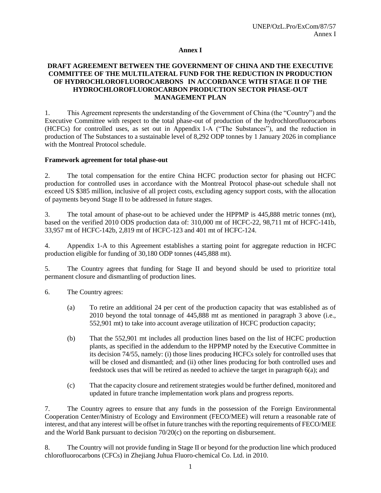#### **Annex I**

## **DRAFT AGREEMENT BETWEEN THE GOVERNMENT OF CHINA AND THE EXECUTIVE COMMITTEE OF THE MULTILATERAL FUND FOR THE REDUCTION IN PRODUCTION OF HYDROCHLOROFLUOROCARBONS IN ACCORDANCE WITH STAGE II OF THE HYDROCHLOROFLUOROCARBON PRODUCTION SECTOR PHASE-OUT MANAGEMENT PLAN**

1. This Agreement represents the understanding of the Government of China (the "Country") and the Executive Committee with respect to the total phase-out of production of the hydrochlorofluorocarbons (HCFCs) for controlled uses, as set out in Appendix 1-A ("The Substances"), and the reduction in production of The Substances to a sustainable level of 8,292 ODP tonnes by 1 January 2026 in compliance with the Montreal Protocol schedule.

#### **Framework agreement for total phase-out**

2. The total compensation for the entire China HCFC production sector for phasing out HCFC production for controlled uses in accordance with the Montreal Protocol phase-out schedule shall not exceed US \$385 million, inclusive of all project costs, excluding agency support costs, with the allocation of payments beyond Stage II to be addressed in future stages.

3. The total amount of phase-out to be achieved under the HPPMP is 445,888 metric tonnes (mt), based on the verified 2010 ODS production data of: 310,000 mt of HCFC-22, 98,711 mt of HCFC-141b, 33,957 mt of HCFC-142b, 2,819 mt of HCFC-123 and 401 mt of HCFC-124.

4. Appendix 1-A to this Agreement establishes a starting point for aggregate reduction in HCFC production eligible for funding of 30,180 ODP tonnes (445,888 mt).

5. The Country agrees that funding for Stage II and beyond should be used to prioritize total permanent closure and dismantling of production lines.

6. The Country agrees:

- (a) To retire an additional 24 per cent of the production capacity that was established as of 2010 beyond the total tonnage of 445,888 mt as mentioned in paragraph 3 above (i.e., 552,901 mt) to take into account average utilization of HCFC production capacity;
- (b) That the 552,901 mt includes all production lines based on the list of HCFC production plants, as specified in the addendum to the HPPMP noted by the Executive Committee in its decision 74/55, namely: (i) those lines producing HCFCs solely for controlled uses that will be closed and dismantled; and (ii) other lines producing for both controlled uses and feedstock uses that will be retired as needed to achieve the target in paragraph 6(a); and
- (c) That the capacity closure and retirement strategies would be further defined, monitored and updated in future tranche implementation work plans and progress reports.

7. The Country agrees to ensure that any funds in the possession of the Foreign Environmental Cooperation Center/Ministry of Ecology and Environment (FECO/MEE) will return a reasonable rate of interest, and that any interest will be offset in future tranches with the reporting requirements of FECO/MEE and the World Bank pursuant to decision 70/20(c) on the reporting on disbursement.

8. The Country will not provide funding in Stage II or beyond for the production line which produced chlorofluorocarbons (CFCs) in Zhejiang Juhua Fluoro-chemical Co. Ltd. in 2010.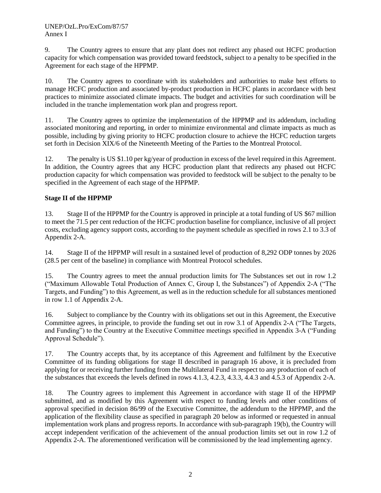9. The Country agrees to ensure that any plant does not redirect any phased out HCFC production capacity for which compensation was provided toward feedstock, subject to a penalty to be specified in the Agreement for each stage of the HPPMP.

10. The Country agrees to coordinate with its stakeholders and authorities to make best efforts to manage HCFC production and associated by-product production in HCFC plants in accordance with best practices to minimize associated climate impacts. The budget and activities for such coordination will be included in the tranche implementation work plan and progress report.

11. The Country agrees to optimize the implementation of the HPPMP and its addendum, including associated monitoring and reporting, in order to minimize environmental and climate impacts as much as possible, including by giving priority to HCFC production closure to achieve the HCFC reduction targets set forth in Decision XIX/6 of the Nineteenth Meeting of the Parties to the Montreal Protocol.

12. The penalty is US \$1.10 per kg/year of production in excess of the level required in this Agreement. In addition, the Country agrees that any HCFC production plant that redirects any phased out HCFC production capacity for which compensation was provided to feedstock will be subject to the penalty to be specified in the Agreement of each stage of the HPPMP.

# **Stage II of the HPPMP**

13. Stage II of the HPPMP for the Country is approved in principle at a total funding of US \$67 million to meet the 71.5 per cent reduction of the HCFC production baseline for compliance, inclusive of all project costs, excluding agency support costs, according to the payment schedule as specified in rows 2.1 to 3.3 of Appendix 2-A.

14. Stage II of the HPPMP will result in a sustained level of production of 8,292 ODP tonnes by 2026 (28.5 per cent of the baseline) in compliance with Montreal Protocol schedules.

15. The Country agrees to meet the annual production limits for The Substances set out in row 1.2 ("Maximum Allowable Total Production of Annex C, Group I, the Substances") of Appendix 2-A ("The Targets, and Funding") to this Agreement, as well as in the reduction schedule for all substances mentioned in row 1.1 of Appendix 2-A.

16. Subject to compliance by the Country with its obligations set out in this Agreement, the Executive Committee agrees, in principle, to provide the funding set out in row 3.1 of Appendix 2-A ("The Targets, and Funding") to the Country at the Executive Committee meetings specified in Appendix 3-A ("Funding Approval Schedule").

17. The Country accepts that, by its acceptance of this Agreement and fulfilment by the Executive Committee of its funding obligations for stage II described in paragraph 16 above, it is precluded from applying for or receiving further funding from the Multilateral Fund in respect to any production of each of the substances that exceeds the levels defined in rows 4.1.3, 4.2.3, 4.3.3, 4.4.3 and 4.5.3 of Appendix 2-A.

18. The Country agrees to implement this Agreement in accordance with stage II of the HPPMP submitted, and as modified by this Agreement with respect to funding levels and other conditions of approval specified in decision 86/99 of the Executive Committee, the addendum to the HPPMP, and the application of the flexibility clause as specified in paragraph 20 below as informed or requested in annual implementation work plans and progress reports. In accordance with sub-paragraph 19(b), the Country will accept independent verification of the achievement of the annual production limits set out in row 1.2 of Appendix 2-A. The aforementioned verification will be commissioned by the lead implementing agency.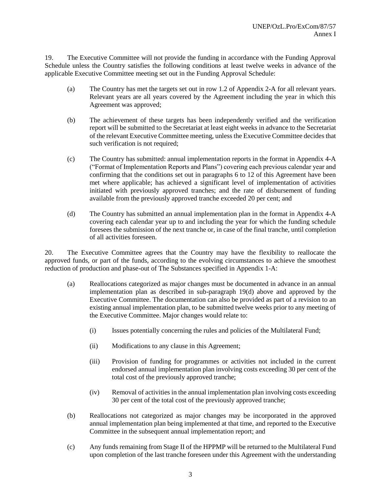19. The Executive Committee will not provide the funding in accordance with the Funding Approval Schedule unless the Country satisfies the following conditions at least twelve weeks in advance of the applicable Executive Committee meeting set out in the Funding Approval Schedule:

- (a) The Country has met the targets set out in row 1.2 of Appendix 2-A for all relevant years. Relevant years are all years covered by the Agreement including the year in which this Agreement was approved;
- (b) The achievement of these targets has been independently verified and the verification report will be submitted to the Secretariat at least eight weeks in advance to the Secretariat of the relevant Executive Committee meeting, unless the Executive Committee decides that such verification is not required;
- (c) The Country has submitted: annual implementation reports in the format in Appendix 4-A ("Format of Implementation Reports and Plans") covering each previous calendar year and confirming that the conditions set out in paragraphs 6 to 12 of this Agreement have been met where applicable; has achieved a significant level of implementation of activities initiated with previously approved tranches; and the rate of disbursement of funding available from the previously approved tranche exceeded 20 per cent; and
- (d) The Country has submitted an annual implementation plan in the format in Appendix 4-A covering each calendar year up to and including the year for which the funding schedule foresees the submission of the next tranche or, in case of the final tranche, until completion of all activities foreseen.

20. The Executive Committee agrees that the Country may have the flexibility to reallocate the approved funds, or part of the funds, according to the evolving circumstances to achieve the smoothest reduction of production and phase-out of The Substances specified in Appendix 1-A:

- (a) Reallocations categorized as major changes must be documented in advance in an annual implementation plan as described in sub-paragraph 19(d) above and approved by the Executive Committee. The documentation can also be provided as part of a revision to an existing annual implementation plan, to be submitted twelve weeks prior to any meeting of the Executive Committee. Major changes would relate to:
	- (i) Issues potentially concerning the rules and policies of the Multilateral Fund;
	- (ii) Modifications to any clause in this Agreement;
	- (iii) Provision of funding for programmes or activities not included in the current endorsed annual implementation plan involving costs exceeding 30 per cent of the total cost of the previously approved tranche;
	- (iv) Removal of activities in the annual implementation plan involving costs exceeding 30 per cent of the total cost of the previously approved tranche;
- (b) Reallocations not categorized as major changes may be incorporated in the approved annual implementation plan being implemented at that time, and reported to the Executive Committee in the subsequent annual implementation report; and
- (c) Any funds remaining from Stage II of the HPPMP will be returned to the Multilateral Fund upon completion of the last tranche foreseen under this Agreement with the understanding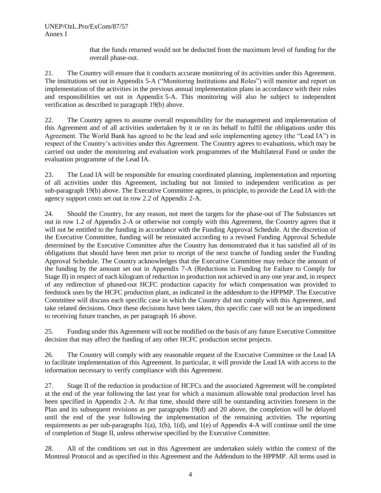that the funds returned would not be deducted from the maximum level of funding for the overall phase-out.

21. The Country will ensure that it conducts accurate monitoring of its activities under this Agreement. The institutions set out in Appendix 5-A ("Monitoring Institutions and Roles") will monitor and report on implementation of the activities in the previous annual implementation plans in accordance with their roles and responsibilities set out in Appendix 5-A. This monitoring will also be subject to independent verification as described in paragraph 19(b) above.

22. The Country agrees to assume overall responsibility for the management and implementation of this Agreement and of all activities undertaken by it or on its behalf to fulfil the obligations under this Agreement. The World Bank has agreed to be the lead and sole implementing agency (the "Lead IA") in respect of the Country's activities under this Agreement. The Country agrees to evaluations, which may be carried out under the monitoring and evaluation work programmes of the Multilateral Fund or under the evaluation programme of the Lead IA.

23. The Lead IA will be responsible for ensuring coordinated planning, implementation and reporting of all activities under this Agreement, including but not limited to independent verification as per sub-paragraph 19(b) above. The Executive Committee agrees, in principle, to provide the Lead IA with the agency support costs set out in row 2.2 of Appendix 2-A.

24. Should the Country, for any reason, not meet the targets for the phase-out of The Substances set out in row 1.2 of Appendix 2-A or otherwise not comply with this Agreement, the Country agrees that it will not be entitled to the funding in accordance with the Funding Approval Schedule. At the discretion of the Executive Committee, funding will be reinstated according to a revised Funding Approval Schedule determined by the Executive Committee after the Country has demonstrated that it has satisfied all of its obligations that should have been met prior to receipt of the next tranche of funding under the Funding Approval Schedule. The Country acknowledges that the Executive Committee may reduce the amount of the funding by the amount set out in Appendix 7-A (Reductions in Funding for Failure to Comply for Stage II) in respect of each kilogram of reduction in production not achieved in any one year and, in respect of any redirection of phased-out HCFC production capacity for which compensation was provided to feedstock uses by the HCFC production plant, as indicated in the addendum to the HPPMP. The Executive Committee will discuss each specific case in which the Country did not comply with this Agreement, and take related decisions. Once these decisions have been taken, this specific case will not be an impediment to receiving future tranches, as per paragraph 16 above.

25. Funding under this Agreement will not be modified on the basis of any future Executive Committee decision that may affect the funding of any other HCFC production sector projects.

26. The Country will comply with any reasonable request of the Executive Committee or the Lead IA to facilitate implementation of this Agreement. In particular, it will provide the Lead IA with access to the information necessary to verify compliance with this Agreement.

27. Stage II of the reduction in production of HCFCs and the associated Agreement will be completed at the end of the year following the last year for which a maximum allowable total production level has been specified in Appendix 2-A. At that time, should there still be outstanding activities foreseen in the Plan and its subsequent revisions as per paragraphs 19(d) and 20 above, the completion will be delayed until the end of the year following the implementation of the remaining activities. The reporting requirements as per sub-paragraphs 1(a), 1(b), 1(d), and 1(e) of Appendix 4-A will continue until the time of completion of Stage II, unless otherwise specified by the Executive Committee.

28. All of the conditions set out in this Agreement are undertaken solely within the context of the Montreal Protocol and as specified in this Agreement and the Addendum to the HPPMP. All terms used in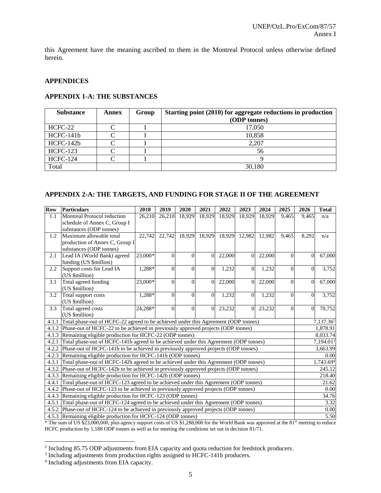this Agreement have the meaning ascribed to them in the Montreal Protocol unless otherwise defined herein.

#### **APPENDICES**

#### **APPENDIX 1-A: THE SUBSTANCES**

| <b>Substance</b> | Annex | Group | Starting point (2010) for aggregate reductions in production |  |  |  |  |  |
|------------------|-------|-------|--------------------------------------------------------------|--|--|--|--|--|
|                  |       |       | (ODP tonnes)                                                 |  |  |  |  |  |
| HCFC-22          |       |       | 17,050                                                       |  |  |  |  |  |
| HCFC-141b        |       |       | 10,858                                                       |  |  |  |  |  |
| HCFC-142b        |       |       | 2,207                                                        |  |  |  |  |  |
| <b>HCFC-123</b>  |       |       | 56                                                           |  |  |  |  |  |
| <b>HCFC-124</b>  |       |       |                                                              |  |  |  |  |  |
| Total            |       |       | 30,180                                                       |  |  |  |  |  |

#### **APPENDIX 2-A: THE TARGETS, AND FUNDING FOR STAGE II OF THE AGREEMENT**

| <b>Row</b> | Particulars                                                                                                                                                                                                                                                                                                                                                                                              | 2018    | 2019     | 2020         | 2021           | 2022   | 2023           | 2024   | 2025           | 2026                  | <b>Total</b>        |
|------------|----------------------------------------------------------------------------------------------------------------------------------------------------------------------------------------------------------------------------------------------------------------------------------------------------------------------------------------------------------------------------------------------------------|---------|----------|--------------|----------------|--------|----------------|--------|----------------|-----------------------|---------------------|
| 1.1        | Montreal Protocol reduction                                                                                                                                                                                                                                                                                                                                                                              | 26,210  | 26,210   | 18,929       | 18,929         | 18,929 | 18,929         | 18,929 | 9,465          | 9.465                 | n/a                 |
|            | schedule of Annex C, Group I                                                                                                                                                                                                                                                                                                                                                                             |         |          |              |                |        |                |        |                |                       |                     |
|            | substances (ODP tonnes)                                                                                                                                                                                                                                                                                                                                                                                  |         |          |              |                |        |                |        |                |                       |                     |
| 1.2        | Maximum allowable total                                                                                                                                                                                                                                                                                                                                                                                  | 22,742  | 22,742   | 18,929       | 18,929         | 18,929 | 12,982         | 12,982 | 9,465          | 8,292                 | n/a                 |
|            | production of Annex C, Group I                                                                                                                                                                                                                                                                                                                                                                           |         |          |              |                |        |                |        |                |                       |                     |
|            | substances (ODP tonnes)                                                                                                                                                                                                                                                                                                                                                                                  |         |          |              |                |        |                |        |                |                       |                     |
| 2.1        | Lead IA (World Bank) agreed<br>funding (US \$million)                                                                                                                                                                                                                                                                                                                                                    | 23,000* | $\theta$ | $\Omega$     | $\Omega$       | 22,000 | $\Omega$       | 22,000 | $\Omega$       | $\theta$              | 67,000              |
| 2.2        | Support costs for Lead IA                                                                                                                                                                                                                                                                                                                                                                                | 1,288*  | $\theta$ | $\Omega$     | $\Omega$       | 1,232  | $\Omega$       | 1,232  | $\Omega$       | $\Omega$              | 3,752               |
|            | (US \$million)                                                                                                                                                                                                                                                                                                                                                                                           |         |          |              |                |        |                |        |                |                       |                     |
| 3.1        | Total agreed funding                                                                                                                                                                                                                                                                                                                                                                                     | 23,000* | $\Omega$ | $\mathbf{0}$ | $\overline{0}$ | 22,000 | $\overline{0}$ | 22,000 | $\overline{0}$ | $\theta$              | 67,000              |
|            | (US \$million)                                                                                                                                                                                                                                                                                                                                                                                           |         |          |              |                |        |                |        |                |                       |                     |
| 3.2        | Total support costs                                                                                                                                                                                                                                                                                                                                                                                      | 1,288*  | $\theta$ | $\Omega$     | $\Omega$       | 1,232  | $\Omega$       | 1,232  | $\Omega$       | $\Omega$              | 3,752               |
|            | (US \$million)                                                                                                                                                                                                                                                                                                                                                                                           |         |          |              |                |        |                |        |                |                       |                     |
| 3.3        | Total agreed costs                                                                                                                                                                                                                                                                                                                                                                                       | 24,288* | $\Omega$ | $\Omega$     | $\Omega$       | 23,232 | $\Omega$       | 23,232 | $\Omega$       | $\Omega$              | 70,752              |
|            | (US \$million)                                                                                                                                                                                                                                                                                                                                                                                           |         |          |              |                |        |                |        |                |                       |                     |
|            | 4.1.1 Total phase-out of HCFC-22 agreed to be achieved under this Agreement (ODP tonnes)                                                                                                                                                                                                                                                                                                                 |         |          |              |                |        |                |        |                | 7,137.36 <sup>2</sup> |                     |
|            | 4.1.2 Phase-out of HCFC-22 to be achieved in previously approved projects (ODP tonnes)                                                                                                                                                                                                                                                                                                                   |         |          |              |                |        |                |        |                | 1,878.91              |                     |
|            | 4.1.3 Remaining eligible production for HCFC-22 (ODP tonnes)                                                                                                                                                                                                                                                                                                                                             |         |          |              |                |        |                |        |                | 8,033.74              |                     |
| 4.2.1      | Total phase-out of HCFC-141b agreed to be achieved under this Agreement (ODP tonnes)                                                                                                                                                                                                                                                                                                                     |         |          |              |                |        |                |        |                | 7,194.01 <sup>3</sup> |                     |
|            | 4.2.2 Phase-out of HCFC-141b to be achieved in previously approved projects (ODP tonnes)                                                                                                                                                                                                                                                                                                                 |         |          |              |                |        |                |        |                | 3,663.99              |                     |
|            | 4.2.3 Remaining eligible production for HCFC-141b (ODP tonnes)                                                                                                                                                                                                                                                                                                                                           |         |          |              |                |        |                |        |                |                       | 0.00                |
| 4.3.1      | Total phase-out of HCFC-142b agreed to be achieved under this Agreement (ODP tonnes)                                                                                                                                                                                                                                                                                                                     |         |          |              |                |        |                |        |                |                       | 1,743.694<br>245.12 |
| 4.3.2      | Phase-out of HCFC-142b to be achieved in previously approved projects (ODP tonnes)                                                                                                                                                                                                                                                                                                                       |         |          |              |                |        |                |        |                |                       |                     |
| 4.4.1      | 4.3.3 Remaining eligible production for HCFC-142b (ODP tonnes)                                                                                                                                                                                                                                                                                                                                           |         |          |              |                |        |                |        |                |                       | 218.40<br>21.62     |
| 4.4.2      | Total phase-out of HCFC-123 agreed to be achieved under this Agreement (ODP tonnes)                                                                                                                                                                                                                                                                                                                      |         |          |              |                |        |                |        |                |                       | 0.00                |
|            | Phase-out of HCFC-123 to be achieved in previously approved projects (ODP tonnes)                                                                                                                                                                                                                                                                                                                        |         |          |              |                |        |                |        |                |                       | 34.76               |
| 4.5.1      | 4.4.3 Remaining eligible production for HCFC-123 (ODP tonnes)                                                                                                                                                                                                                                                                                                                                            |         |          |              |                |        |                |        |                |                       | 3.32                |
| 4.5.2      | Total phase-out of HCFC-124 agreed to be achieved under this Agreement (ODP tonnes)<br>Phase-out of HCFC-124 to be achieved in previously approved projects (ODP tonnes)                                                                                                                                                                                                                                 |         |          |              |                |        |                |        |                |                       | 0.00                |
|            | 4.5.3 Remaining eligible production for HCFC-124 (ODP tonnes)                                                                                                                                                                                                                                                                                                                                            |         |          |              |                |        |                |        |                | 5.50                  |                     |
|            | $C \text{ H G } \phi \alpha \alpha \alpha \alpha \alpha \alpha$ 1 $\theta$ 1. $\theta$ 1. $\theta$ 1. $\alpha \alpha \alpha \alpha \alpha \alpha$ 1. $\theta$ 1. $\theta$ 1. $\theta$ 1. $\theta$ 1. $\theta$ 1. $\theta$ 1. $\theta$ 1. $\theta$ 1. $\theta$ 1. $\theta$ 1. $\theta$ 1. $\theta$ 1. $\theta$ 1. $\theta$ 1. $\theta$ 1. $\theta$ 1. $\theta$ 1. $\theta$ 1. $\theta$ 1.<br>$1.71.01$ et |         |          |              |                |        |                |        |                |                       |                     |

\* The sum of US \$23,000,000, plus agency support costs of US \$1,288,000 for the World Bank was approved at the 81st meeting to reduce HCFC production by 1,188 ODP tonnes as well as for meeting the conditions set out in decision 81/71.

l

<sup>&</sup>lt;sup>2</sup> Including 85.75 ODP adjustments from EIA capacity and quota reduction for feedstock producers.

<sup>&</sup>lt;sup>3</sup> Including adjustments from production rights assigned to HCFC-141b producers.

<sup>4</sup> Including adjustments from EIA capacity.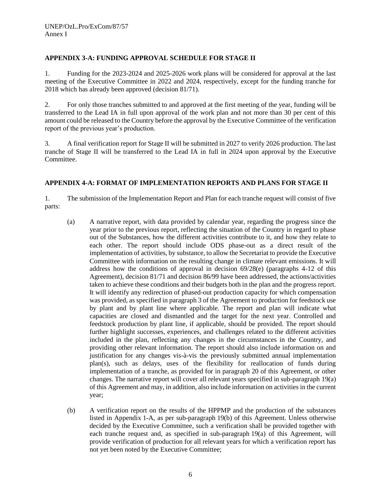## **APPENDIX 3-A: FUNDING APPROVAL SCHEDULE FOR STAGE II**

1. Funding for the 2023-2024 and 2025-2026 work plans will be considered for approval at the last meeting of the Executive Committee in 2022 and 2024, respectively, except for the funding tranche for 2018 which has already been approved (decision 81/71).

2. For only those tranches submitted to and approved at the first meeting of the year, funding will be transferred to the Lead IA in full upon approval of the work plan and not more than 30 per cent of this amount could be released to the Country before the approval by the Executive Committee of the verification report of the previous year's production.

3. A final verification report for Stage II will be submitted in 2027 to verify 2026 production. The last tranche of Stage II will be transferred to the Lead IA in full in 2024 upon approval by the Executive Committee.

## **APPENDIX 4-A: FORMAT OF IMPLEMENTATION REPORTS AND PLANS FOR STAGE II**

1. The submission of the Implementation Report and Plan for each tranche request will consist of five parts:

- (a) A narrative report, with data provided by calendar year, regarding the progress since the year prior to the previous report, reflecting the situation of the Country in regard to phase out of the Substances, how the different activities contribute to it, and how they relate to each other. The report should include ODS phase-out as a direct result of the implementation of activities, by substance, to allow the Secretariat to provide the Executive Committee with information on the resulting change in climate relevant emissions. It will address how the conditions of approval in decision  $69/28(e)$  (paragraphs 4-12 of this Agreement), decision 81/71 and decision 86/99 have been addressed, the actions/activities taken to achieve these conditions and their budgets both in the plan and the progress report. It will identify any redirection of phased-out production capacity for which compensation was provided, as specified in paragraph 3 of the Agreement to production for feedstock use by plant and by plant line where applicable. The report and plan will indicate what capacities are closed and dismantled and the target for the next year. Controlled and feedstock production by plant line, if applicable, should be provided. The report should further highlight successes, experiences, and challenges related to the different activities included in the plan, reflecting any changes in the circumstances in the Country, and providing other relevant information. The report should also include information on and justification for any changes vis-à-vis the previously submitted annual implementation plan(s), such as delays, uses of the flexibility for reallocation of funds during implementation of a tranche, as provided for in paragraph 20 of this Agreement, or other changes. The narrative report will cover all relevant years specified in sub-paragraph 19(a) of this Agreement and may, in addition, also include information on activities in the current year;
- (b) A verification report on the results of the HPPMP and the production of the substances listed in Appendix 1-A, as per sub-paragraph 19(b) of this Agreement. Unless otherwise decided by the Executive Committee, such a verification shall be provided together with each tranche request and, as specified in sub-paragraph 19(a) of this Agreement, will provide verification of production for all relevant years for which a verification report has not yet been noted by the Executive Committee;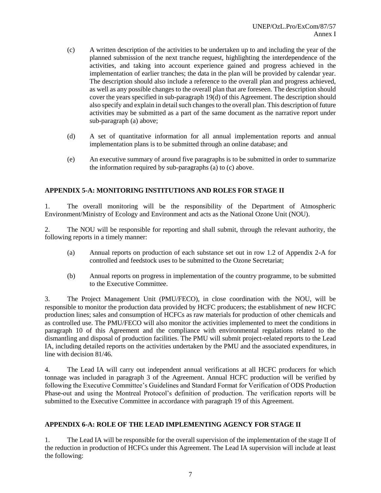- (c) A written description of the activities to be undertaken up to and including the year of the planned submission of the next tranche request, highlighting the interdependence of the activities, and taking into account experience gained and progress achieved in the implementation of earlier tranches; the data in the plan will be provided by calendar year. The description should also include a reference to the overall plan and progress achieved, as well as any possible changes to the overall plan that are foreseen. The description should cover the years specified in sub-paragraph 19(d) of this Agreement. The description should also specify and explain in detail such changes to the overall plan. This description of future activities may be submitted as a part of the same document as the narrative report under sub-paragraph (a) above;
- (d) A set of quantitative information for all annual implementation reports and annual implementation plans is to be submitted through an online database; and
- (e) An executive summary of around five paragraphs is to be submitted in order to summarize the information required by sub-paragraphs (a) to (c) above.

## **APPENDIX 5-A: MONITORING INSTITUTIONS AND ROLES FOR STAGE II**

1. The overall monitoring will be the responsibility of the Department of Atmospheric Environment/Ministry of Ecology and Environment and acts as the National Ozone Unit (NOU).

2. The NOU will be responsible for reporting and shall submit, through the relevant authority, the following reports in a timely manner:

- (a) Annual reports on production of each substance set out in row 1.2 of Appendix 2-A for controlled and feedstock uses to be submitted to the Ozone Secretariat;
- (b) Annual reports on progress in implementation of the country programme, to be submitted to the Executive Committee.

3. The Project Management Unit (PMU/FECO), in close coordination with the NOU, will be responsible to monitor the production data provided by HCFC producers; the establishment of new HCFC production lines; sales and consumption of HCFCs as raw materials for production of other chemicals and as controlled use. The PMU/FECO will also monitor the activities implemented to meet the conditions in paragraph 10 of this Agreement and the compliance with environmental regulations related to the dismantling and disposal of production facilities. The PMU will submit project-related reports to the Lead IA, including detailed reports on the activities undertaken by the PMU and the associated expenditures, in line with decision 81/46.

4. The Lead IA will carry out independent annual verifications at all HCFC producers for which tonnage was included in paragraph 3 of the Agreement. Annual HCFC production will be verified by following the Executive Committee's Guidelines and Standard Format for Verification of ODS Production Phase-out and using the Montreal Protocol's definition of production. The verification reports will be submitted to the Executive Committee in accordance with paragraph 19 of this Agreement.

#### **APPENDIX 6-A: ROLE OF THE LEAD IMPLEMENTING AGENCY FOR STAGE II**

1. The Lead IA will be responsible for the overall supervision of the implementation of the stage II of the reduction in production of HCFCs under this Agreement. The Lead IA supervision will include at least the following: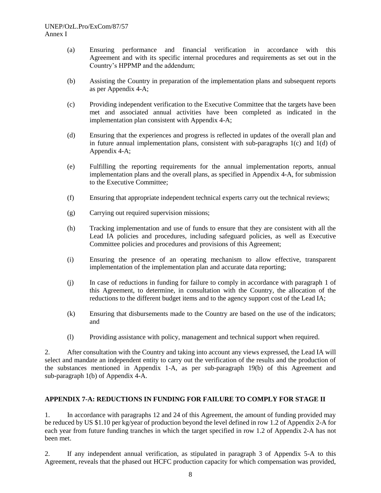- (a) Ensuring performance and financial verification in accordance with this Agreement and with its specific internal procedures and requirements as set out in the Country's HPPMP and the addendum;
- (b) Assisting the Country in preparation of the implementation plans and subsequent reports as per Appendix 4-A;
- (c) Providing independent verification to the Executive Committee that the targets have been met and associated annual activities have been completed as indicated in the implementation plan consistent with Appendix 4-A;
- (d) Ensuring that the experiences and progress is reflected in updates of the overall plan and in future annual implementation plans, consistent with sub-paragraphs  $1(c)$  and  $1(d)$  of Appendix 4-A;
- (e) Fulfilling the reporting requirements for the annual implementation reports, annual implementation plans and the overall plans, as specified in Appendix 4-A, for submission to the Executive Committee;
- (f) Ensuring that appropriate independent technical experts carry out the technical reviews;
- (g) Carrying out required supervision missions;
- (h) Tracking implementation and use of funds to ensure that they are consistent with all the Lead IA policies and procedures, including safeguard policies, as well as Executive Committee policies and procedures and provisions of this Agreement;
- (i) Ensuring the presence of an operating mechanism to allow effective, transparent implementation of the implementation plan and accurate data reporting;
- (j) In case of reductions in funding for failure to comply in accordance with paragraph 1 of this Agreement, to determine, in consultation with the Country, the allocation of the reductions to the different budget items and to the agency support cost of the Lead IA;
- (k) Ensuring that disbursements made to the Country are based on the use of the indicators; and
- (l) Providing assistance with policy, management and technical support when required.

2. After consultation with the Country and taking into account any views expressed, the Lead IA will select and mandate an independent entity to carry out the verification of the results and the production of the substances mentioned in Appendix 1-A, as per sub-paragraph 19(b) of this Agreement and sub-paragraph 1(b) of Appendix 4-A.

#### **APPENDIX 7-A: REDUCTIONS IN FUNDING FOR FAILURE TO COMPLY FOR STAGE II**

1. In accordance with paragraphs 12 and 24 of this Agreement, the amount of funding provided may be reduced by US \$1.10 per kg/year of production beyond the level defined in row 1.2 of Appendix 2-A for each year from future funding tranches in which the target specified in row 1.2 of Appendix 2-A has not been met.

2. If any independent annual verification, as stipulated in paragraph 3 of Appendix 5-A to this Agreement, reveals that the phased out HCFC production capacity for which compensation was provided,